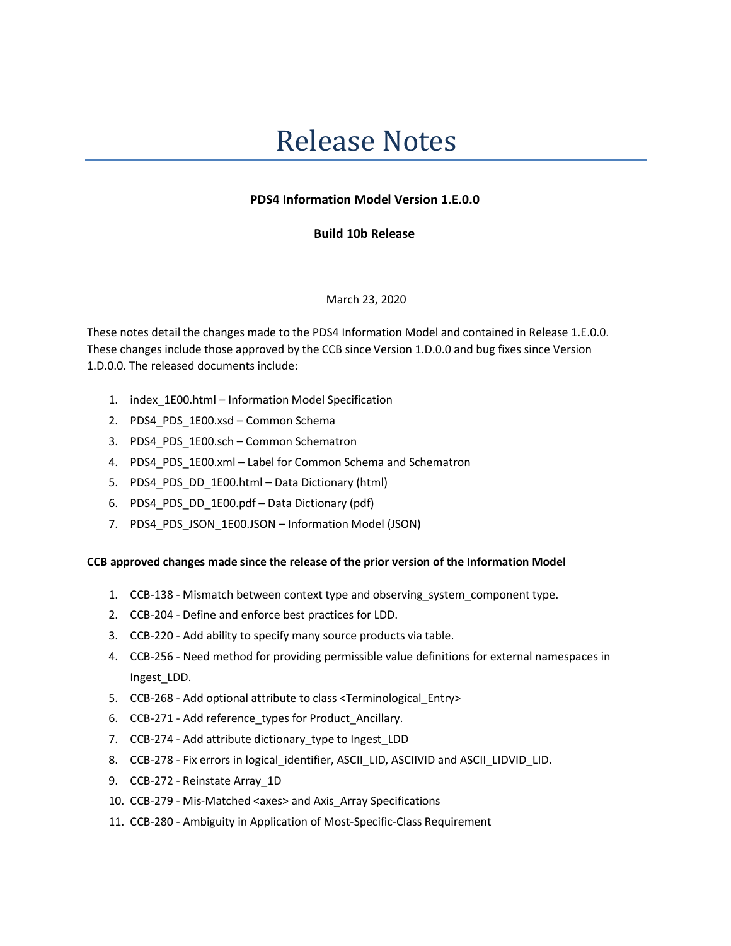# Release Notes

## **PDS4 Information Model Version 1.E.0.0**

## **Build 10b Release**

#### March 23, 2020

These notes detail the changes made to the PDS4 Information Model and contained in Release 1.E.0.0. These changes include those approved by the CCB since Version 1.D.0.0 and bug fixes since Version 1.D.0.0. The released documents include:

- 1. index\_1E00.html Information Model Specification
- 2. PDS4\_PDS\_1E00.xsd Common Schema
- 3. PDS4 PDS 1E00.sch Common Schematron
- 4. PDS4 PDS 1E00.xml Label for Common Schema and Schematron
- 5. PDS4\_PDS\_DD\_1E00.html Data Dictionary (html)
- 6. PDS4\_PDS\_DD\_1E00.pdf Data Dictionary (pdf)
- 7. PDS4\_PDS\_JSON\_1E00.JSON Information Model (JSON)

## **CCB approved changes made since the release of the prior version of the Information Model**

- 1. CCB-138 Mismatch between context type and observing\_system\_component type.
- 2. CCB-204 Define and enforce best practices for LDD.
- 3. CCB-220 Add ability to specify many source products via table.
- 4. CCB-256 Need method for providing permissible value definitions for external namespaces in Ingest\_LDD.
- 5. CCB-268 Add optional attribute to class <Terminological\_Entry>
- 6. CCB-271 Add reference\_types for Product\_Ancillary.
- 7. CCB-274 Add attribute dictionary\_type to Ingest\_LDD
- 8. CCB-278 Fix errors in logical\_identifier, ASCII\_LID, ASCIIVID and ASCII\_LIDVID\_LID.
- 9. CCB-272 Reinstate Array\_1D
- 10. CCB-279 Mis-Matched <axes> and Axis\_Array Specifications
- 11. CCB-280 Ambiguity in Application of Most-Specific-Class Requirement